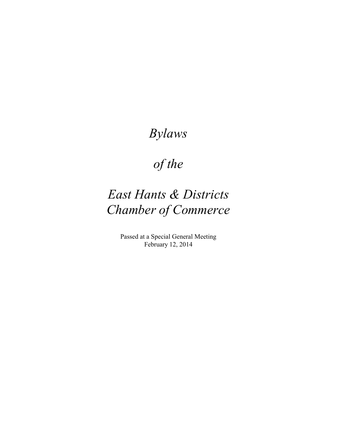# *Bylaws*

# *of the*

# *East Hants & Districts Chamber of Commerce*

Passed at a Special General Meeting February 12, 2014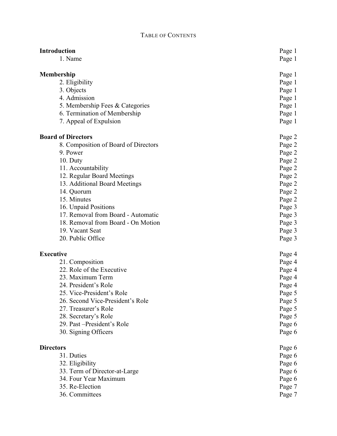#### T ABLE OF CONTENT S

| 1. Name<br>Page 1<br>Membership<br>Page 1<br>2. Eligibility<br>Page 1<br>3. Objects<br>Page 1<br>4. Admission<br>Page 1<br>5. Membership Fees & Categories<br>Page 1<br>6. Termination of Membership<br>Page 1<br>7. Appeal of Expulsion<br>Page 1<br><b>Board of Directors</b><br>Page 2<br>8. Composition of Board of Directors<br>Page 2<br>9. Power<br>Page 2<br>$10.$ Duty<br>Page 2<br>11. Accountability<br>Page 2<br>12. Regular Board Meetings<br>Page 2<br>13. Additional Board Meetings<br>Page 2<br>14. Quorum<br>Page 2<br>15. Minutes<br>Page 2<br>16. Unpaid Positions<br>Page 3<br>17. Removal from Board - Automatic<br>Page 3<br>18. Removal from Board - On Motion<br>Page 3<br>19. Vacant Seat<br>Page 3<br>20. Public Office<br>Page 3<br><b>Executive</b><br>Page 4<br>21. Composition<br>Page 4<br>22. Role of the Executive<br>Page 4<br>23. Maximum Term<br>Page 4<br>24. President's Role<br>Page 4<br>25. Vice-President's Role<br>Page 5<br>26. Second Vice-President's Role<br>Page 5<br>27. Treasurer's Role<br>Page 5<br>28. Secretary's Role<br>Page 5<br>29. Past - President's Role<br>Page 6<br>30. Signing Officers<br>Page 6<br><b>Directors</b><br>Page 6<br>31. Duties<br>Page 6<br>32. Eligibility<br>Page 6<br>33. Term of Director-at-Large<br>Page 6<br>34. Four Year Maximum<br>Page 6<br>35. Re-Election<br>Page 7<br>36. Committees<br>Page 7 | <b>Introduction</b> | Page 1 |
|---------------------------------------------------------------------------------------------------------------------------------------------------------------------------------------------------------------------------------------------------------------------------------------------------------------------------------------------------------------------------------------------------------------------------------------------------------------------------------------------------------------------------------------------------------------------------------------------------------------------------------------------------------------------------------------------------------------------------------------------------------------------------------------------------------------------------------------------------------------------------------------------------------------------------------------------------------------------------------------------------------------------------------------------------------------------------------------------------------------------------------------------------------------------------------------------------------------------------------------------------------------------------------------------------------------------------------------------------------------------------------------------|---------------------|--------|
|                                                                                                                                                                                                                                                                                                                                                                                                                                                                                                                                                                                                                                                                                                                                                                                                                                                                                                                                                                                                                                                                                                                                                                                                                                                                                                                                                                                             |                     |        |
|                                                                                                                                                                                                                                                                                                                                                                                                                                                                                                                                                                                                                                                                                                                                                                                                                                                                                                                                                                                                                                                                                                                                                                                                                                                                                                                                                                                             |                     |        |
|                                                                                                                                                                                                                                                                                                                                                                                                                                                                                                                                                                                                                                                                                                                                                                                                                                                                                                                                                                                                                                                                                                                                                                                                                                                                                                                                                                                             |                     |        |
|                                                                                                                                                                                                                                                                                                                                                                                                                                                                                                                                                                                                                                                                                                                                                                                                                                                                                                                                                                                                                                                                                                                                                                                                                                                                                                                                                                                             |                     |        |
|                                                                                                                                                                                                                                                                                                                                                                                                                                                                                                                                                                                                                                                                                                                                                                                                                                                                                                                                                                                                                                                                                                                                                                                                                                                                                                                                                                                             |                     |        |
|                                                                                                                                                                                                                                                                                                                                                                                                                                                                                                                                                                                                                                                                                                                                                                                                                                                                                                                                                                                                                                                                                                                                                                                                                                                                                                                                                                                             |                     |        |
|                                                                                                                                                                                                                                                                                                                                                                                                                                                                                                                                                                                                                                                                                                                                                                                                                                                                                                                                                                                                                                                                                                                                                                                                                                                                                                                                                                                             |                     |        |
|                                                                                                                                                                                                                                                                                                                                                                                                                                                                                                                                                                                                                                                                                                                                                                                                                                                                                                                                                                                                                                                                                                                                                                                                                                                                                                                                                                                             |                     |        |
|                                                                                                                                                                                                                                                                                                                                                                                                                                                                                                                                                                                                                                                                                                                                                                                                                                                                                                                                                                                                                                                                                                                                                                                                                                                                                                                                                                                             |                     |        |
|                                                                                                                                                                                                                                                                                                                                                                                                                                                                                                                                                                                                                                                                                                                                                                                                                                                                                                                                                                                                                                                                                                                                                                                                                                                                                                                                                                                             |                     |        |
|                                                                                                                                                                                                                                                                                                                                                                                                                                                                                                                                                                                                                                                                                                                                                                                                                                                                                                                                                                                                                                                                                                                                                                                                                                                                                                                                                                                             |                     |        |
|                                                                                                                                                                                                                                                                                                                                                                                                                                                                                                                                                                                                                                                                                                                                                                                                                                                                                                                                                                                                                                                                                                                                                                                                                                                                                                                                                                                             |                     |        |
|                                                                                                                                                                                                                                                                                                                                                                                                                                                                                                                                                                                                                                                                                                                                                                                                                                                                                                                                                                                                                                                                                                                                                                                                                                                                                                                                                                                             |                     |        |
|                                                                                                                                                                                                                                                                                                                                                                                                                                                                                                                                                                                                                                                                                                                                                                                                                                                                                                                                                                                                                                                                                                                                                                                                                                                                                                                                                                                             |                     |        |
|                                                                                                                                                                                                                                                                                                                                                                                                                                                                                                                                                                                                                                                                                                                                                                                                                                                                                                                                                                                                                                                                                                                                                                                                                                                                                                                                                                                             |                     |        |
|                                                                                                                                                                                                                                                                                                                                                                                                                                                                                                                                                                                                                                                                                                                                                                                                                                                                                                                                                                                                                                                                                                                                                                                                                                                                                                                                                                                             |                     |        |
|                                                                                                                                                                                                                                                                                                                                                                                                                                                                                                                                                                                                                                                                                                                                                                                                                                                                                                                                                                                                                                                                                                                                                                                                                                                                                                                                                                                             |                     |        |
|                                                                                                                                                                                                                                                                                                                                                                                                                                                                                                                                                                                                                                                                                                                                                                                                                                                                                                                                                                                                                                                                                                                                                                                                                                                                                                                                                                                             |                     |        |
|                                                                                                                                                                                                                                                                                                                                                                                                                                                                                                                                                                                                                                                                                                                                                                                                                                                                                                                                                                                                                                                                                                                                                                                                                                                                                                                                                                                             |                     |        |
|                                                                                                                                                                                                                                                                                                                                                                                                                                                                                                                                                                                                                                                                                                                                                                                                                                                                                                                                                                                                                                                                                                                                                                                                                                                                                                                                                                                             |                     |        |
|                                                                                                                                                                                                                                                                                                                                                                                                                                                                                                                                                                                                                                                                                                                                                                                                                                                                                                                                                                                                                                                                                                                                                                                                                                                                                                                                                                                             |                     |        |
|                                                                                                                                                                                                                                                                                                                                                                                                                                                                                                                                                                                                                                                                                                                                                                                                                                                                                                                                                                                                                                                                                                                                                                                                                                                                                                                                                                                             |                     |        |
|                                                                                                                                                                                                                                                                                                                                                                                                                                                                                                                                                                                                                                                                                                                                                                                                                                                                                                                                                                                                                                                                                                                                                                                                                                                                                                                                                                                             |                     |        |
|                                                                                                                                                                                                                                                                                                                                                                                                                                                                                                                                                                                                                                                                                                                                                                                                                                                                                                                                                                                                                                                                                                                                                                                                                                                                                                                                                                                             |                     |        |
|                                                                                                                                                                                                                                                                                                                                                                                                                                                                                                                                                                                                                                                                                                                                                                                                                                                                                                                                                                                                                                                                                                                                                                                                                                                                                                                                                                                             |                     |        |
|                                                                                                                                                                                                                                                                                                                                                                                                                                                                                                                                                                                                                                                                                                                                                                                                                                                                                                                                                                                                                                                                                                                                                                                                                                                                                                                                                                                             |                     |        |
|                                                                                                                                                                                                                                                                                                                                                                                                                                                                                                                                                                                                                                                                                                                                                                                                                                                                                                                                                                                                                                                                                                                                                                                                                                                                                                                                                                                             |                     |        |
|                                                                                                                                                                                                                                                                                                                                                                                                                                                                                                                                                                                                                                                                                                                                                                                                                                                                                                                                                                                                                                                                                                                                                                                                                                                                                                                                                                                             |                     |        |
|                                                                                                                                                                                                                                                                                                                                                                                                                                                                                                                                                                                                                                                                                                                                                                                                                                                                                                                                                                                                                                                                                                                                                                                                                                                                                                                                                                                             |                     |        |
|                                                                                                                                                                                                                                                                                                                                                                                                                                                                                                                                                                                                                                                                                                                                                                                                                                                                                                                                                                                                                                                                                                                                                                                                                                                                                                                                                                                             |                     |        |
|                                                                                                                                                                                                                                                                                                                                                                                                                                                                                                                                                                                                                                                                                                                                                                                                                                                                                                                                                                                                                                                                                                                                                                                                                                                                                                                                                                                             |                     |        |
|                                                                                                                                                                                                                                                                                                                                                                                                                                                                                                                                                                                                                                                                                                                                                                                                                                                                                                                                                                                                                                                                                                                                                                                                                                                                                                                                                                                             |                     |        |
|                                                                                                                                                                                                                                                                                                                                                                                                                                                                                                                                                                                                                                                                                                                                                                                                                                                                                                                                                                                                                                                                                                                                                                                                                                                                                                                                                                                             |                     |        |
|                                                                                                                                                                                                                                                                                                                                                                                                                                                                                                                                                                                                                                                                                                                                                                                                                                                                                                                                                                                                                                                                                                                                                                                                                                                                                                                                                                                             |                     |        |
|                                                                                                                                                                                                                                                                                                                                                                                                                                                                                                                                                                                                                                                                                                                                                                                                                                                                                                                                                                                                                                                                                                                                                                                                                                                                                                                                                                                             |                     |        |
|                                                                                                                                                                                                                                                                                                                                                                                                                                                                                                                                                                                                                                                                                                                                                                                                                                                                                                                                                                                                                                                                                                                                                                                                                                                                                                                                                                                             |                     |        |
|                                                                                                                                                                                                                                                                                                                                                                                                                                                                                                                                                                                                                                                                                                                                                                                                                                                                                                                                                                                                                                                                                                                                                                                                                                                                                                                                                                                             |                     |        |
|                                                                                                                                                                                                                                                                                                                                                                                                                                                                                                                                                                                                                                                                                                                                                                                                                                                                                                                                                                                                                                                                                                                                                                                                                                                                                                                                                                                             |                     |        |
|                                                                                                                                                                                                                                                                                                                                                                                                                                                                                                                                                                                                                                                                                                                                                                                                                                                                                                                                                                                                                                                                                                                                                                                                                                                                                                                                                                                             |                     |        |
|                                                                                                                                                                                                                                                                                                                                                                                                                                                                                                                                                                                                                                                                                                                                                                                                                                                                                                                                                                                                                                                                                                                                                                                                                                                                                                                                                                                             |                     |        |
|                                                                                                                                                                                                                                                                                                                                                                                                                                                                                                                                                                                                                                                                                                                                                                                                                                                                                                                                                                                                                                                                                                                                                                                                                                                                                                                                                                                             |                     |        |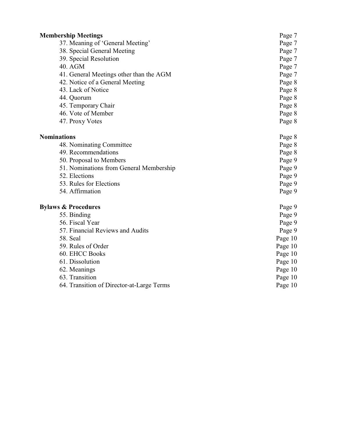| <b>Membership Meetings</b>                | Page 7  |
|-------------------------------------------|---------|
| 37. Meaning of 'General Meeting'          | Page 7  |
| 38. Special General Meeting               | Page 7  |
| 39. Special Resolution                    | Page 7  |
| 40. AGM                                   | Page 7  |
| 41. General Meetings other than the AGM   | Page 7  |
| 42. Notice of a General Meeting           | Page 8  |
| 43. Lack of Notice                        | Page 8  |
| 44. Quorum                                | Page 8  |
| 45. Temporary Chair                       | Page 8  |
| 46. Vote of Member                        | Page 8  |
| 47. Proxy Votes                           | Page 8  |
| <b>Nominations</b>                        | Page 8  |
| 48. Nominating Committee                  | Page 8  |
| 49. Recommendations                       | Page 8  |
| 50. Proposal to Members                   | Page 9  |
| 51. Nominations from General Membership   | Page 9  |
| 52. Elections                             | Page 9  |
| 53. Rules for Elections                   | Page 9  |
| 54. Affirmation                           | Page 9  |
| <b>Bylaws &amp; Procedures</b>            | Page 9  |
| 55. Binding                               | Page 9  |
| 56. Fiscal Year                           | Page 9  |
| 57. Financial Reviews and Audits          | Page 9  |
| 58. Seal                                  | Page 10 |
| 59. Rules of Order                        | Page 10 |
| 60. EHCC Books                            | Page 10 |
| 61. Dissolution                           | Page 10 |
| 62. Meanings                              | Page 10 |
| 63. Transition                            | Page 10 |
| 64. Transition of Director-at-Large Terms | Page 10 |
|                                           |         |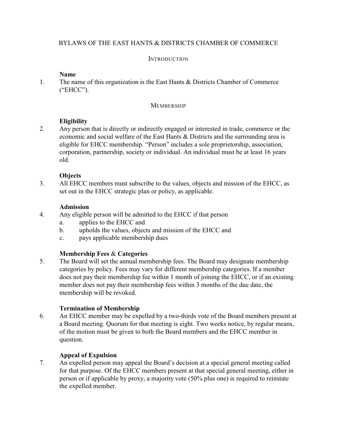# BYLAWS OF THE EAST HANTS & DISTRICTS CHAMBER OF COMMERCE

#### **INTRODUCTION**

#### **Name**

1. The name of this organization is the East Hants & Districts Chamber of Commerce ("EHCC").

#### **MEMBERSHIP**

#### **Eligibility**

2. Any person that is directly or indirectly engaged or interested in trade, commerce or the economic and social welfare of the East Hants & Districts and the surrounding area is eligible for EHCC membership. "Person" includes a sole proprietorship, association, corporation, partnership, society or individual. An individual must be at least 16 years old.

#### **Objects**

3. All EHCC members must subscribe to the values, objects and mission of the EHCC, as set out in the EHCC strategic plan or policy, as applicable.

#### **Admission**

- 4. Any eligible person will be admitted to the EHCC if that person
	- a. applies to the EHCC and
	- b. upholds the values, objects and mission of the EHCC and
	- c. pays applicable membership dues

#### **Membership Fees** & **Categories**

5. The Board will set the annual membership fees. The Board may designate membership categories by policy. Fees may vary for different membership categories. If a member does not pay their membership fee within 1 month of joining the EHCC, or if an existing member does not pay their membership fees within 3 months of the due date, the membership will be revoked.

#### **Termination of Membership**

6. An EHCC member may be expelled by a two-thirds vote of the Board members present at a Board meeting. Quorum for that meeting is eight. Two weeks notice, by regular means, of the motion must be given to both the Board members and the EHCC member in question.

#### **Appeal of Expulsion**

7. An expelled person may appeal the Board's decision at a special general meeting called for that purpose. Of the EHCC members present at that special general meeting, either in person or if applicable by proxy, a majority vote (50% plus one) is required to reinstate the expelled member.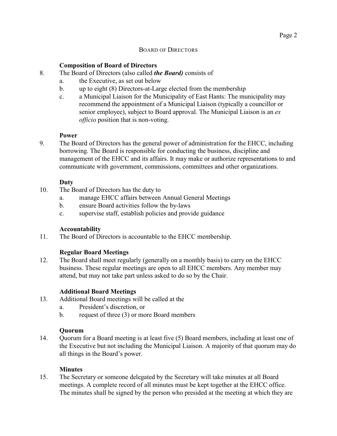#### BOARD OF DIRECTORS

#### **Composition of Board of Directors**

- 8. The Board of Directors (also called *the Board)* consists of
	- a. the Executive, as set out below
	- b. up to eight (8) Directors-at-Large elected from the membership
	- c. a Municipal Liaison for the Municipality of East Hants: The municipality may recommend the appointment of a Municipal Liaison (typically a councillor or senior employee), subject to Board approval. The Municipal Liaison is an *ex officio* position that is non-voting.

#### **Power**

9. The Board of Directors has the general power of administration for the EHCC, including borrowing. The Board is responsible for conducting the business, discipline and management of the EHCC and its affairs. It may make or authorize representations to and communicate with government, commissions, committees and other organizations.

#### **Duty**

- 10. The Board of Directors has the duty to
	- a. manage EHCC affairs between Annual General Meetings
	- b. ensure Board activities follow the by-laws
	- c. supervise staff, establish policies and provide guidance

#### **Accountability**

11. The Board of Directors is accountable to the EHCC membership.

#### **Regular Board Meetings**

12. The Board shall meet regularly (generally on a monthly basis) to carry on the EHCC business. These regular meetings are open to all EHCC members. Any member may attend, but may not take part unless asked to do so by the Chair.

#### **Additional Board Meetings**

- 13. Additional Board meetings will be called at the
	- a. President's discretion, or
	- b. request of three (3) or more Board members

#### **Quorum**

14. Quorum for a Board meeting is at least five (5) Board members, including at least one of the Executive but not including the Municipal Liaison. A majority of that quorum may do all things in the Board's power.

#### **Minutes**

15. The Secretary or someone delegated by the Secretary will take minutes at all Board meetings. A complete record of all minutes must be kept together at the EHCC office. The minutes shall be signed by the person who presided at the meeting at which they are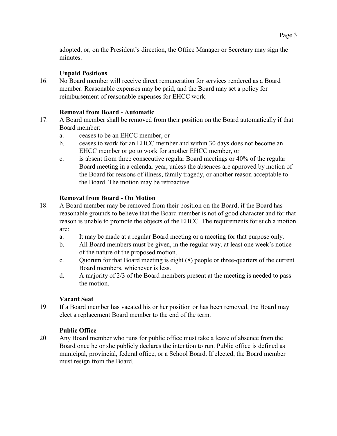adopted, or, on the President's direction, the Office Manager or Secretary may sign the minutes.

# **Unpaid Positions**

16. No Board member will receive direct remuneration for services rendered as a Board member. Reasonable expenses may be paid, and the Board may set a policy for reimbursement of reasonable expenses for EHCC work.

# **Removal from Board - Automatic**

- 17. A Board member shall be removed from their position on the Board automatically if that Board member:
	- a. ceases to be an EHCC member, or
	- b. ceases to work for an EHCC member and within 30 days does not become an EHCC member or go to work for another EHCC member, or
	- c. is absent from three consecutive regular Board meetings or 40% of the regular Board meeting in a calendar year, unless the absences are approved by motion of the Board for reasons of illness, family tragedy, or another reason acceptable to the Board. The motion may be retroactive.

# **Removal from Board - On Motion**

- 18. A Board member may be removed from their position on the Board, if the Board has reasonable grounds to believe that the Board member is not of good character and for that reason is unable to promote the objects of the EHCC. The requirements for such a motion are:
	- a. It may be made at a regular Board meeting or a meeting for that purpose only.
	- b. All Board members must be given, in the regular way, at least one week's notice of the nature of the proposed motion.
	- c. Quorum for that Board meeting is eight (8) people or three-quarters of the current Board members, whichever is less.
	- d. A majority of 2/3 of the Board members present at the meeting is needed to pass the motion.

#### **Vacant Seat**

19. If a Board member has vacated his or her position or has been removed, the Board may elect a replacement Board member to the end of the term.

#### **Public Office**

20. Any Board member who runs for public office must take a leave of absence from the Board once he or she publicly declares the intention to run. Public office is defined as municipal, provincial, federal office, or a School Board. If elected, the Board member must resign from the Board.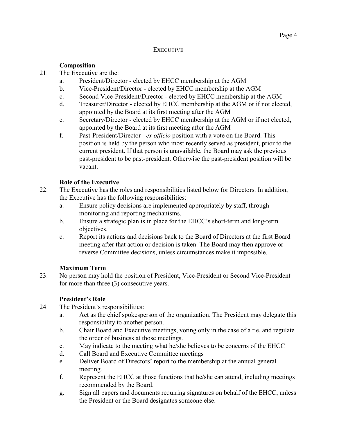#### **EXECUTIVE**

## **Composition**

- 21. The Executive are the:
	- a. President/Director elected by EHCC membership at the AGM
	- b. Vice-President/Director elected by EHCC membership at the AGM
	- c. Second Vice-President/Director elected by EHCC membership at the AGM
	- d. Treasurer/Director elected by EHCC membership at the AGM or if not elected, appointed by the Board at its first meeting after the AGM
	- e. Secretary/Director elected by EHCC membership at the AGM or if not elected, appointed by the Board at its first meeting after the AGM
	- f. Past-President/Director *ex officio* position with a vote on the Board. This position is held by the person who most recently served as president, prior to the current president. If that person is unavailable, the Board may ask the previous past-president to be past-president. Otherwise the past-president position will be vacant.

# **Role of the Executive**

- 22. The Executive has the roles and responsibilities listed below for Directors. In addition, the Executive has the following responsibilities:
	- a. Ensure policy decisions are implemented appropriately by staff, through monitoring and reporting mechanisms.
	- b. Ensure a strategic plan is in place for the EHCC's short-term and long-term objectives.
	- c. Report its actions and decisions back to the Board of Directors at the first Board meeting after that action or decision is taken. The Board may then approve or reverse Committee decisions, unless circumstances make it impossible.

#### **Maximum Term**

23. No person may hold the position of President, Vice-President or Second Vice-President for more than three (3) consecutive years.

#### **President's Role**

- 24. The President's responsibilities:
	- a. Act as the chief spokesperson of the organization. The President may delegate this responsibility to another person.
	- b. Chair Board and Executive meetings, voting only in the case of a tie, and regulate the order of business at those meetings.
	- c. May indicate to the meeting what he/she believes to be concerns of the EHCC
	- d. Call Board and Executive Committee meetings
	- e. Deliver Board of Directors' report to the membership at the annual general meeting.
	- f. Represent the EHCC at those functions that he/she can attend, including meetings recommended by the Board.
	- g. Sign all papers and documents requiring signatures on behalf of the EHCC, unless the President or the Board designates someone else.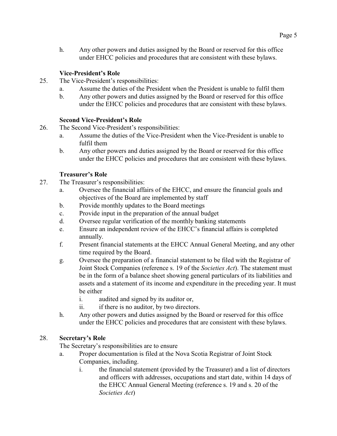h. Any other powers and duties assigned by the Board or reserved for this office under EHCC policies and procedures that are consistent with these bylaws.

# **Vice-President's Role**

- 25. The Vice-President's responsibilities:
	- a. Assume the duties of the President when the President is unable to fulfil them
	- b. Any other powers and duties assigned by the Board or reserved for this office under the EHCC policies and procedures that are consistent with these bylaws.

#### **Second Vice-President's Role**

- 26. The Second Vice-President's responsibilities:
	- a. Assume the duties of the Vice-President when the Vice-President is unable to fulfil them
	- b. Any other powers and duties assigned by the Board or reserved for this office under the EHCC policies and procedures that are consistent with these bylaws.

#### **Treasurer's Role**

- 27. The Treasurer's responsibilities:
	- a. Oversee the financial affairs of the EHCC, and ensure the financial goals and objectives of the Board are implemented by staff
	- b. Provide monthly updates to the Board meetings
	- c. Provide input in the preparation of the annual budget
	- d. Oversee regular verification of the monthly banking statements
	- e. Ensure an independent review of the EHCC's financial affairs is completed annually.
	- f. Present financial statements at the EHCC Annual General Meeting, and any other time required by the Board.
	- g. Oversee the preparation of a financial statement to be filed with the Registrar of Joint Stock Companies (reference s. 19 of the *Societies Act*). The statement must be in the form of a balance sheet showing general particulars of its liabilities and assets and a statement of its income and expenditure in the preceding year. It must be either
		- i. audited and signed by its auditor or,
		- ii. if there is no auditor, by two directors.
	- h. Any other powers and duties assigned by the Board or reserved for this office under the EHCC policies and procedures that are consistent with these bylaws.

#### 28. **Secretary's Role**

The Secretary's responsibilities are to ensure

- a. Proper documentation is filed at the Nova Scotia Registrar of Joint Stock Companies, including.
	- i. the financial statement (provided by the Treasurer) and a list of directors and officers with addresses, occupations and start date, within 14 days of the EHCC Annual General Meeting (reference s. 19 and s. 20 of the *Societies Act*)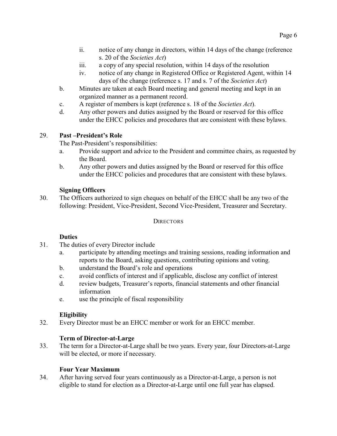- ii. notice of any change in directors, within 14 days of the change (reference s. 20 of the *Societies Act*)
- iii. a copy of any special resolution, within 14 days of the resolution
- iv. notice of any change in Registered Office or Registered Agent, within 14 days of the change (reference s. 17 and s. 7 of the *Societies Act*)
- b. Minutes are taken at each Board meeting and general meeting and kept in an organized manner as a permanent record.
- c. A register of members is kept (reference s. 18 of the *Societies Act*).
- d. Any other powers and duties assigned by the Board or reserved for this office under the EHCC policies and procedures that are consistent with these bylaws.

# 29. **Past –President's Role**

The Past-President's responsibilities:

- a. Provide support and advice to the President and committee chairs, as requested by the Board.
- b. Any other powers and duties assigned by the Board or reserved for this office under the EHCC policies and procedures that are consistent with these bylaws.

#### **Signing Officers**

30. The Officers authorized to sign cheques on behalf of the EHCC shall be any two of the following: President, Vice-President, Second Vice-President, Treasurer and Secretary.

#### **DIRECTORS**

#### **Duties**

- 31. The duties of every Director include
	- a. participate by attending meetings and training sessions, reading information and reports to the Board, asking questions, contributing opinions and voting.
	- b. understand the Board's role and operations
	- c. avoid conflicts of interest and if applicable, disclose any conflict of interest
	- d. review budgets, Treasurer's reports, financial statements and other financial information
	- e. use the principle of fiscal responsibility

#### **Eligibility**

32. Every Director must be an EHCC member or work for an EHCC member.

#### **Term of Director-at-Large**

33. The term for a Director-at-Large shall be two years. Every year, four Directors-at-Large will be elected, or more if necessary.

#### **Four Year Maximum**

34. After having served four years continuously as a Director-at-Large, a person is not eligible to stand for election as a Director-at-Large until one full year has elapsed.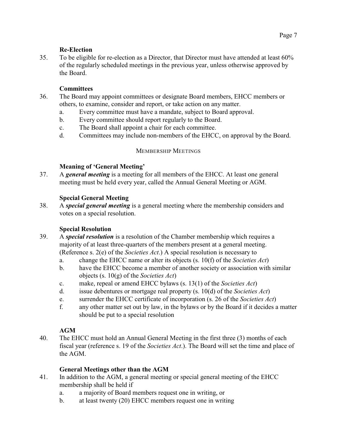# **Re-Election**

35. To be eligible for re-election as a Director, that Director must have attended at least 60% of the regularly scheduled meetings in the previous year, unless otherwise approved by the Board.

# **Committees**

- 36. The Board may appoint committees or designate Board members, EHCC members or others, to examine, consider and report, or take action on any matter.
	- a. Every committee must have a mandate, subject to Board approval.
	- b. Every committee should report regularly to the Board.
	- c. The Board shall appoint a chair for each committee.
	- d. Committees may include non-members of the EHCC, on approval by the Board.

# MEMBERSHIP MEETINGS

# **Meaning of 'General Meeting'**

37. A *general meeting* is a meeting for all members of the EHCC. At least one general meeting must be held every year, called the Annual General Meeting or AGM.

# **Special General Meeting**

38. A *special general meeting* is a general meeting where the membership considers and votes on a special resolution.

#### **Special Resolution**

- 39. A *special resolution* is a resolution of the Chamber membership which requires a majority of at least three-quarters of the members present at a general meeting. (Reference s. 2(e) of the *Societies Act*.) A special resolution is necessary to
	- a. change the EHCC name or alter its objects (s. 10(f) of the *Societies Act*)
	- b. have the EHCC become a member of another society or association with similar objects (s. 10(g) of the *Societies Act*)
	- c. make, repeal or amend EHCC bylaws (s. 13(1) of the *Societies Act*)
	- d. issue debentures or mortgage real property (s. 10(d) of the *Societies Act*)
	- e. surrender the EHCC certificate of incorporation (s. 26 of the *Societies Act*)
	- f. any other matter set out by law, in the bylaws or by the Board if it decides a matter should be put to a special resolution

#### **AGM**

40. The EHCC must hold an Annual General Meeting in the first three (3) months of each fiscal year (reference s. 19 of the *Societies Act*.). The Board will set the time and place of the AGM.

#### **General Meetings other than the AGM**

- 41. In addition to the AGM, a general meeting or special general meeting of the EHCC membership shall be held if
	- a. a majority of Board members request one in writing, or
	- b. at least twenty (20) EHCC members request one in writing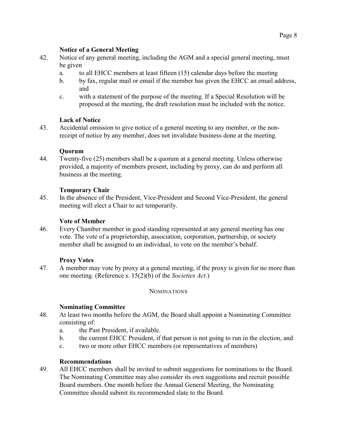# **Notice of a General Meeting**

- 42. Notice of any general meeting, including the AGM and a special general meeting, must be given
	- a. to all EHCC members at least fifteen (15) calendar days before the meeting
	- b. by fax, regular mail or email if the member has given the EHCC an email address, and
	- c. with a statement of the purpose of the meeting. If a Special Resolution will be proposed at the meeting, the draft resolution must be included with the notice.

# **Lack of Notice**

43. Accidental omission to give notice of a general meeting to any member, or the nonreceipt of notice by any member, does not invalidate business done at the meeting.

# **Quorum**

44. Twenty-five (25) members shall be a quorum at a general meeting. Unless otherwise provided, a majority of members present, including by proxy, can do and perform all business at the meeting.

# **Temporary Chair**

45. In the absence of the President, Vice-President and Second Vice-President, the general meeting will elect a Chair to act temporarily.

## **Vote of Member**

46. Every Chamber member in good standing represented at any general meeting has one vote. The vote of a proprietorship, association, corporation, partnership, or society member shall be assigned to an individual, to vote on the member's behalf.

#### **Proxy Votes**

47. A member may vote by proxy at a general meeting, if the proxy is given for no more than one meeting. (Reference s. 15(2)(b) of the *Societies Act*.)

**NOMINATIONS** 

#### **Nominating Committee**

- 48. At least two months before the AGM, the Board shall appoint a Nominating Committee consisting of:
	- a. the Past President, if available.
	- b. the current EHCC President, if that person is not going to run in the election, and
	- c. two or more other EHCC members (or representatives of members)

# **Recommendations**

49. All EHCC members shall be invited to submit suggestions for nominations to the Board. The Nominating Committee may also consider its own suggestions and recruit possible Board members. One month before the Annual General Meeting, the Nominating Committee should submit its recommended slate to the Board.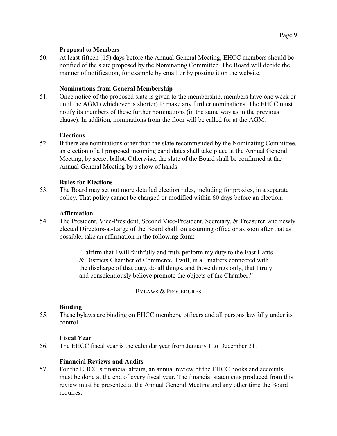#### **Proposal to Members**

50. At least fifteen (15) days before the Annual General Meeting, EHCC members should be notified of the slate proposed by the Nominating Committee. The Board will decide the manner of notification, for example by email or by posting it on the website.

#### **Nominations from General Membership**

51. Once notice of the proposed slate is given to the membership, members have one week or until the AGM (whichever is shorter) to make any further nominations. The EHCC must notify its members of these further nominations (in the same way as in the previous clause). In addition, nominations from the floor will be called for at the AGM.

# **Elections**

52. If there are nominations other than the slate recommended by the Nominating Committee, an election of all proposed incoming candidates shall take place at the Annual General Meeting, by secret ballot. Otherwise, the slate of the Board shall be confirmed at the Annual General Meeting by a show of hands.

# **Rules for Elections**

53. The Board may set out more detailed election rules, including for proxies, in a separate policy. That policy cannot be changed or modified within 60 days before an election.

# **Affirmation**

54. The President, Vice-President, Second Vice-President, Secretary, & Treasurer, and newly elected Directors-at-Large of the Board shall, on assuming office or as soon after that as possible, take an affirmation in the following form:

> "I affirm that I will faithfully and truly perform my duty to the East Hants & Districts Chamber of Commerce. I will, in all matters connected with the discharge of that duty, do all things, and those things only, that I truly and conscientiously believe promote the objects of the Chamber."

> > BYLAWS & PROCEDURES

# **Binding**

55. These bylaws are binding on EHCC members, officers and all persons lawfully under its control.

# **Fiscal Year**

56. The EHCC fiscal year is the calendar year from January 1 to December 31.

# **Financial Reviews and Audits**

57. For the EHCC's financial affairs, an annual review of the EHCC books and accounts must be done at the end of every fiscal year. The financial statements produced from this review must be presented at the Annual General Meeting and any other time the Board requires.